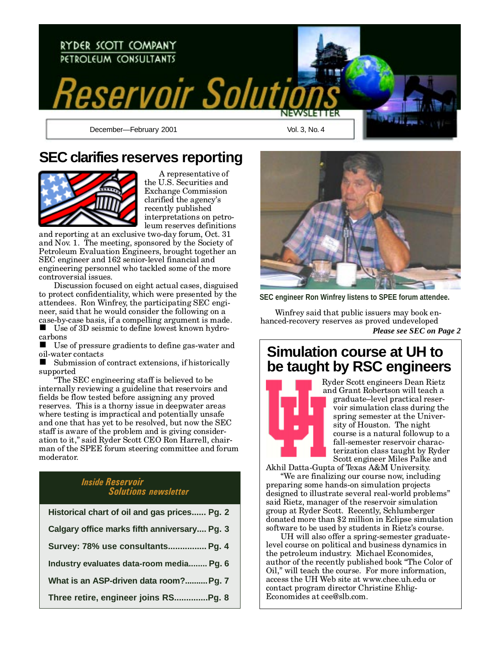

# **SEC clarifies reserves reporting**



A representative of the U.S. Securities and Exchange Commission clarified the agency's recently published interpretations on petroleum reserves definitions

and reporting at an exclusive two-day forum, Oct. 31 and Nov. 1. The meeting, sponsored by the Society of Petroleum Evaluation Engineers, brought together an SEC engineer and 162 senior-level financial and engineering personnel who tackled some of the more controversial issues.

Discussion focused on eight actual cases, disguised to protect confidentiality, which were presented by the attendees. Ron Winfrey, the participating SEC engineer, said that he would consider the following on a case-by-case basis, if a compelling argument is made.

■ Use of 3D seismic to define lowest known hydrocarbons

 $\blacksquare$  Use of pressure gradients to define gas-water and oil-water contacts

 $\blacksquare$  Submission of contract extensions, if historically supported

The SEC engineering staff is believed to be internally reviewing a guideline that reservoirs and fields be flow tested before assigning any proved reserves. This is a thorny issue in deepwater areas where testing is impractical and potentially unsafe and one that has yet to be resolved, but now the SEC staff is aware of the problem and is giving consideration to it," said Ryder Scott CEO Ron Harrell, chairman of the SPEE forum steering committee and forum moderator.

### Inside Reservoir Solutions newsletter

| Historical chart of oil and gas prices Pg. 2 |
|----------------------------------------------|
| Calgary office marks fifth anniversary Pg. 3 |
| Survey: 78% use consultants Pg. 4            |
| Industry evaluates data-room media Pg. 6     |
| What is an ASP-driven data room? Pg. 7       |
| Three retire, engineer joins RSPg. 8         |



**SEC engineer Ron Winfrey listens to SPEE forum attendee.**

Winfrey said that public issuers may book enhanced-recovery reserves as proved undeveloped *Please see SEC on Page 2*

### **Simulation course at UH to be taught by RSC engineers**



Ryder Scott engineers Dean Rietz and Grant Robertson will teach a graduate-level practical reservoir simulation class during the spring semester at the University of Houston. The night course is a natural followup to a fall-semester reservoir characterization class taught by Ryder Scott engineer Miles Palke and

Akhil Datta-Gupta of Texas A&M University. We are finalizing our course now, including preparing some hands-on simulation projects designed to illustrate several real-world problems said Rietz, manager of the reservoir simulation group at Ryder Scott. Recently, Schlumberger donated more than \$2 million in Eclipse simulation software to be used by students in Rietz's course.

UH will also offer a spring-semester graduatelevel course on political and business dynamics in the petroleum industry. Michael Economides, author of the recently published book The Color of Oil," will teach the course. For more information, access the UH Web site at www.chee.uh.edu or contact program director Christine Ehlig-Economides at cee@slb.com.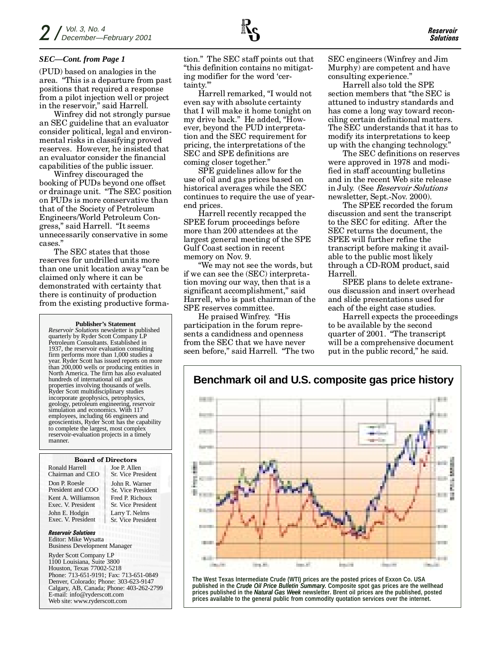### *SEC—Cont. from Page 1*

(PUD) based on analogies in the area. This is a departure from past positions that required a response from a pilot injection well or project in the reservoir," said Harrell.

Winfrey did not strongly pursue an SEC guideline that an evaluator consider political, legal and environmental risks in classifying proved reserves. However, he insisted that an evaluator consider the financial capabilities of the public issuer.

Winfrey discouraged the booking of PUDs beyond one offset or drainage unit. The SEC position on PUDs is more conservative than that of the Society of Petroleum Engineers/World Petroleum Congress," said Harrell. "It seems unnecessarily conservative in some cases.

The SEC states that those reserves for undrilled units more than one unit location away "can be claimed only where it can be demonstrated with certainty that there is continuity of production from the existing productive forma-

#### **Publisher's Statement**

*Reservoir Solutions* newsletter is published quarterly by Ryder Scott Company LP Petroleum Consultants. Established in 1937, the reservoir evaluation consulting firm performs more than 1,000 studies a year. Ryder Scott has issued reports on more than 200,000 wells or producing entities in North America. The firm has also evaluated hundreds of international oil and gas properties involving thousands of wells. Ryder Scott multidisciplinary studies incorporate geophysics, petrophysics, geology, petroleum engineering, reservoir simulation and economics. With 117 employees, including 66 engineers and geoscientists, Ryder Scott has the capability to complete the largest, most complex reservoir-evaluation projects in a timely manner.

#### Board of Directors

Ronald Harrell Chairman and CEO Don P. Roesle President and COO Kent A. Williamson Exec. V. President John E. Hodgin Exec. V. President

Joe P. Allen Sr. Vice President John R. Warner Sr. Vice President Fred P. Richoux Sr. Vice President Larry T. Nelms Sr. Vice President

Reservoir Solutions Editor: Mike Wysatta Business Development Manager

Ryder Scott Company LP 1100 Louisiana, Suite 3800 Houston, Texas 77002-5218 Phone: 713-651-9191; Fax: 713-651-0849 Denver, Colorado; Phone: 303-623-9147 Calgary, AB, Canada; Phone: 403-262-2799 E-mail: info@ryderscott.com Web site: www.ryderscott.com

tion." The SEC staff points out that this definition contains no mitigating modifier for the word 'certainty.

Harrell remarked, "I would not even say with absolute certainty that I will make it home tonight on my drive back." He added, "However, beyond the PUD interpretation and the SEC requirement for pricing, the interpretations of the SEC and SPE definitions are coming closer together.

SPE guidelines allow for the use of oil and gas prices based on historical averages while the SEC continues to require the use of yearend prices.

Harrell recently recapped the SPEE forum proceedings before more than 200 attendees at the largest general meeting of the SPE Gulf Coast section in recent memory on Nov. 9.

We may not see the words, but if we can see the (SEC) interpretation moving our way, then that is a significant accomplishment," said Harrell, who is past chairman of the SPE reserves committee.

He praised Winfrey. "His participation in the forum represents a candidness and openness from the SEC that we have never seen before," said Harrell. "The two

**Dealer** 

**Security** 

SEC engineers (Winfrey and Jim Murphy) are competent and have consulting experience.

Harrell also told the SPE section members that "the SEC is attuned to industry standards and has come a long way toward reconciling certain definitional matters. The SEC understands that it has to modify its interpretations to keep up with the changing technology.

The SEC definitions on reserves were approved in 1978 and modified in staff accounting bulletins and in the recent Web site release in July. (See Reservoir Solutions newsletter, Sept.-Nov. 2000).

The SPEE recorded the forum discussion and sent the transcript to the SEC for editing. After the SEC returns the document, the SPEE will further refine the transcript before making it available to the public most likely through a CD-ROM product, said Harrell.

SPEE plans to delete extraneous discussion and insert overhead and slide presentations used for each of the eight case studies.

Harrell expects the proceedings to be available by the second quarter of 2001. "The transcript" will be a comprehensive document put in the public record," he said.

**Barnett** 

**Dealer** 



**The West Texas Intermediate Crude (WTI) prices are the posted prices of Exxon Co. USA published in the** *Crude Oil Price Bulletin Summary***. Composite spot gas prices are the wellhead prices published in the** *Natural Gas Week* **newsletter. Brent oil prices are the published, posted prices available to the general public from commodity quotation services over the internet.**

**Barnett** 

**Sec.25** 

### **Benchmark oil and U.S. composite gas price history**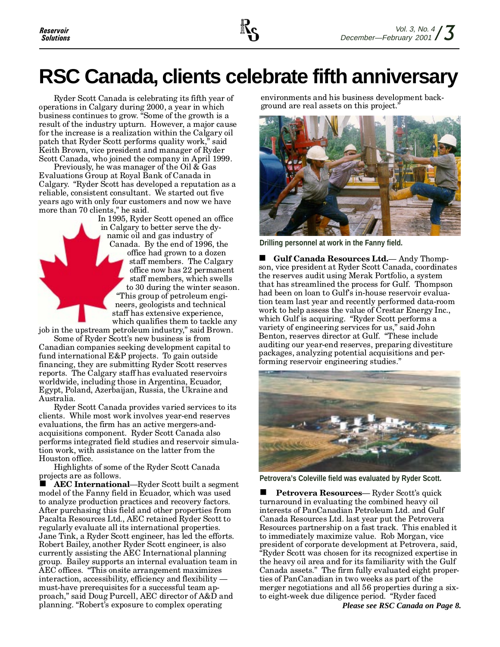# **RSC Canada, clients celebrate fifth anniversary**

Ryder Scott Canada is celebrating its fifth year of operations in Calgary during 2000, a year in which business continues to grow. "Some of the growth is a result of the industry upturn. However, a major cause for the increase is a realization within the Calgary oil patch that Ryder Scott performs quality work," said Keith Brown, vice president and manager of Ryder Scott Canada, who joined the company in April 1999.

Previously, he was manager of the Oil & Gas Evaluations Group at Royal Bank of Canada in Calgary. "Ryder Scott has developed a reputation as a reliable, consistent consultant. We started out five years ago with only four customers and now we have more than 70 clients," he said.

In 1995, Ryder Scott opened an office in Calgary to better serve the dynamic oil and gas industry of Canada. By the end of 1996, the office had grown to a dozen staff members. The Calgary office now has 22 permanent staff members, which swells to 30 during the winter season. This group of petroleum engineers, geologists and technical staff has extensive experience, which qualifies them to tackle any

job in the upstream petroleum industry," said Brown. Some of Ryder Scott's new business is from Canadian companies seeking development capital to fund international E&P projects. To gain outside financing, they are submitting Ryder Scott reserves reports. The Calgary staff has evaluated reservoirs worldwide, including those in Argentina, Ecuador,

Egypt, Poland, Azerbaijan, Russia, the Ukraine and Australia. Ryder Scott Canada provides varied services to its clients. While most work involves year-end reserves evaluations, the firm has an active mergers-andacquisitions component. Ryder Scott Canada also performs integrated field studies and reservoir simulation work, with assistance on the latter from the

Houston office. Highlights of some of the Ryder Scott Canada projects are as follows.

AEC International—Ryder Scott built a segment model of the Fanny field in Ecuador, which was used to analyze production practices and recovery factors. After purchasing this field and other properties from Pacalta Resources Ltd., AEC retained Ryder Scott to regularly evaluate all its international properties. Jane Tink, a Ryder Scott engineer, has led the efforts. Robert Bailey, another Ryder Scott engineer, is also currently assisting the AEC International planning group. Bailey supports an internal evaluation team in AEC offices. "This onsite arrangement maximizes interaction, accessibility, efficiency and flexibility must-have prerequisites for a successful team approach," said Doug Purcell, AEC director of A&D and planning. "Robert's exposure to complex operating

environments and his business development background are real assets on this project.



**Drilling personnel at work in the Fanny field.**

 $\blacksquare$  Gulf Canada Resources Ltd.  $\blacksquare$  Andy Thompson, vice president at Ryder Scott Canada, coordinates the reserves audit using Merak Portfolio, a system that has streamlined the process for Gulf. Thompson had been on loan to Gulfs in-house reservoir evaluation team last year and recently performed data-room work to help assess the value of Crestar Energy Inc., which Gulf is acquiring. "Ryder Scott performs a variety of engineering services for us," said John Benton, reserves director at Gulf. "These include auditing our year-end reserves, preparing divestiture packages, analyzing potential acquisitions and performing reservoir engineering studies.



**Petrovera's Coleville field was evaluated by Ryder Scott.**

**n Petrovera Resources**— Ryder Scott's quick turnaround in evaluating the combined heavy oil interests of PanCanadian Petroleum Ltd. and Gulf Canada Resources Ltd. last year put the Petrovera Resources partnership on a fast track. This enabled it to immediately maximize value. Rob Morgan, vice president of corporate development at Petrovera, said, Ryder Scott was chosen for its recognized expertise in the heavy oil area and for its familiarity with the Gulf Canada assets." The firm fully evaluated eight properties of PanCanadian in two weeks as part of the merger negotiations and all 56 properties during a sixto eight-week due diligence period. "Ryder faced *Please see RSC Canada on Page 8.*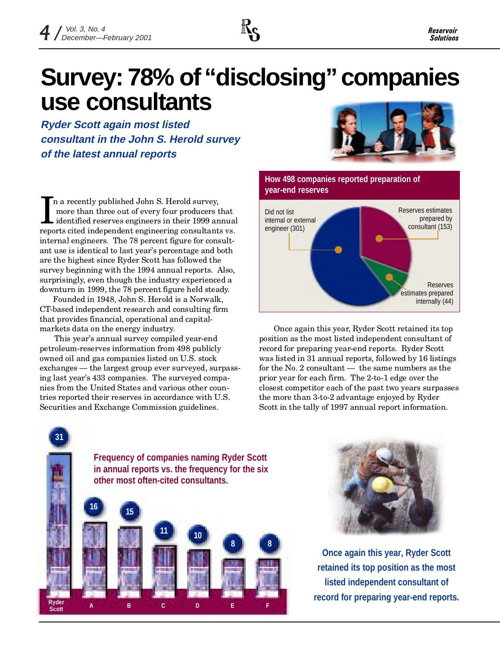

# **Survey: 78% of "disclosing" companies use consultants**

**Ryder Scott again most listed consultant in the John S. Herold survey of the latest annual reports**

In a recently published John S. Herold survey,<br>more than three out of every four producers that<br>identified reserves engineers in their 1999 annua<br>reports cited independent engineering consultants vs. n a recently published John S. Herold survey, more than three out of every four producers that identified reserves engineers in their 1999 annual internal engineers. The 78 percent figure for consultant use is identical to last year's percentage and both are the highest since Ryder Scott has followed the survey beginning with the 1994 annual reports. Also, surprisingly, even though the industry experienced a downturn in 1999, the 78 percent figure held steady.

Founded in 1948, John S. Herold is a Norwalk, CT-based independent research and consulting firm that provides financial, operational and capitalmarkets data on the energy industry.

This year's annual survey compiled year-end petroleum-reserves information from 498 publicly owned oil and gas companies listed on U.S. stock exchanges — the largest group ever surveyed, surpassing last year's 433 companies. The surveyed companies from the United States and various other countries reported their reserves in accordance with U.S. Securities and Exchange Commission guidelines.





Once again this year, Ryder Scott retained its top position as the most listed independent consultant of record for preparing year-end reports. Ryder Scott was listed in 31 annual reports, followed by 16 listings for the No. 2 consultant  $-$  the same numbers as the prior year for each firm. The 2-to-1 edge over the closest competitor each of the past two years surpasses the more than 3-to-2 advantage enjoyed by Ryder Scott in the tally of 1997 annual report information.





**Once again this year, Ryder Scott retained its top position as the most listed independent consultant of record for preparing year-end reports.**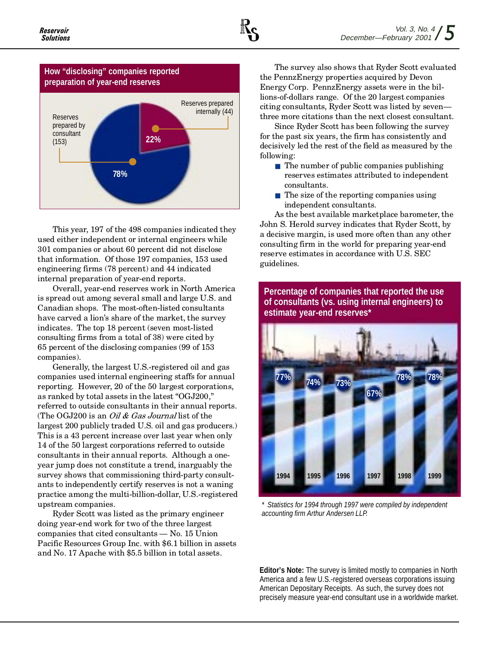



This year, 197 of the 498 companies indicated they used either independent or internal engineers while 301 companies or about 60 percent did not disclose that information. Of those 197 companies, 153 used engineering firms (78 percent) and 44 indicated internal preparation of year-end reports.

Overall, year-end reserves work in North America is spread out among several small and large U.S. and Canadian shops. The most-often-listed consultants have carved a lion's share of the market, the survey indicates. The top 18 percent (seven most-listed consulting firms from a total of 38) were cited by 65 percent of the disclosing companies (99 of 153 companies).

Generally, the largest U.S.-registered oil and gas companies used internal engineering staffs for annual reporting. However, 20 of the 50 largest corporations, as ranked by total assets in the latest "OGJ200," referred to outside consultants in their annual reports. (The OGJ200 is an *Oil & Gas Journal* list of the largest 200 publicly traded U.S. oil and gas producers.) This is a 43 percent increase over last year when only 14 of the 50 largest corporations referred to outside consultants in their annual reports. Although a oneyear jump does not constitute a trend, inarguably the survey shows that commissioning third-party consultants to independently certify reserves is not a waning practice among the multi-billion-dollar, U.S.-registered upstream companies.

Ryder Scott was listed as the primary engineer doing year-end work for two of the three largest companies that cited consultants  $-$  No. 15 Union Pacific Resources Group Inc. with \$6.1 billion in assets and No. 17 Apache with \$5.5 billion in total assets.

The survey also shows that Ryder Scott evaluated the PennzEnergy properties acquired by Devon Energy Corp. PennzEnergy assets were in the billions-of-dollars range. Of the 20 largest companies citing consultants, Ryder Scott was listed by seven three more citations than the next closest consultant.

Since Ryder Scott has been following the survey for the past six years, the firm has consistently and decisively led the rest of the field as measured by the following:

- The number of public companies publishing reserves estimates attributed to independent consultants.
- The size of the reporting companies using independent consultants.

As the best available marketplace barometer, the John S. Herold survey indicates that Ryder Scott, by a decisive margin, is used more often than any other consulting firm in the world for preparing year-end reserve estimates in accordance with U.S. SEC guidelines.

**Percentage of companies that reported the use of consultants (vs. using internal engineers) to**



*\* Statistics for 1994 through 1997 were compiled by independent accounting firm Arthur Andersen LLP.*

**Editor's Note:** The survey is limited mostly to companies in North America and a few U.S.-registered overseas corporations issuing American Depositary Receipts. As such, the survey does not precisely measure year-end consultant use in a worldwide market.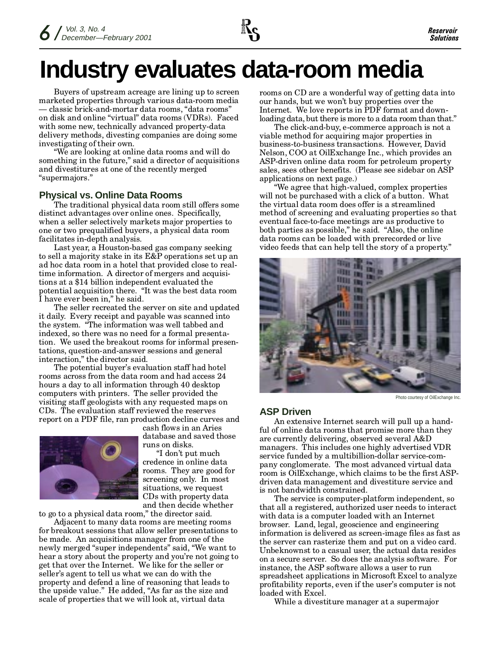

# **Industry evaluates data-room media**

Buyers of upstream acreage are lining up to screen marketed properties through various data-room media - classic brick-and-mortar data rooms, "data rooms" on disk and online "virtual" data rooms (VDRs). Faced with some new, technically advanced property-data delivery methods, divesting companies are doing some investigating of their own.

We are looking at online data rooms and will do something in the future," said a director of acquisitions and divestitures at one of the recently merged supermajors.

### **Physical vs. Online Data Rooms**

The traditional physical data room still offers some distinct advantages over online ones. Specifically, when a seller selectively markets major properties to one or two prequalified buyers, a physical data room facilitates in-depth analysis.

Last year, a Houston-based gas company seeking to sell a majority stake in its E&P operations set up an ad hoc data room in a hotel that provided close to realtime information. A director of mergers and acquisitions at a \$14 billion independent evaluated the potential acquisition there. "It was the best data room I have ever been in," he said.

The seller recreated the server on site and updated it daily. Every receipt and payable was scanned into the system. The information was well tabbed and indexed, so there was no need for a formal presentation. We used the breakout rooms for informal presentations, question-and-answer sessions and general interaction," the director said.

The potential buyer's evaluation staff had hotel rooms across from the data room and had access 24 hours a day to all information through 40 desktop computers with printers. The seller provided the visiting staff geologists with any requested maps on CDs. The evaluation staff reviewed the reserves report on a PDF file, ran production decline curves and



cash flows in an Aries database and saved those runs on disks.

"I don't put much credence in online data rooms. They are good for screening only. In most situations, we request CDs with property data and then decide whether

to go to a physical data room," the director said.

Adjacent to many data rooms are meeting rooms for breakout sessions that allow seller presentations to be made. An acquisitions manager from one of the newly merged "super independents" said, "We want to hear a story about the property and you're not going to get that over the Internet. We like for the seller or seller's agent to tell us what we can do with the property and defend a line of reasoning that leads to the upside value." He added, "As far as the size and scale of properties that we will look at, virtual data

rooms on CD are a wonderful way of getting data into our hands, but we won't buy properties over the Internet. We love reports in PDF format and downloading data, but there is more to a data room than that."

The click-and-buy, e-commerce approach is not a viable method for acquiring major properties in business-to-business transactions. However, David Nelson, COO at OilExchange Inc., which provides an ASP-driven online data room for petroleum property sales, sees other benefits. (Please see sidebar on ASP applications on next page.)

We agree that high-valued, complex properties will not be purchased with a click of a button. What the virtual data room does offer is a streamlined method of screening and evaluating properties so that eventual face-to-face meetings are as productive to both parties as possible," he said. "Also, the online" data rooms can be loaded with prerecorded or live video feeds that can help tell the story of a property.



Photo courtesy of OilExchange Inc.

### **ASP Driven**

An extensive Internet search will pull up a handful of online data rooms that promise more than they are currently delivering, observed several A&D managers. This includes one highly advertised VDR service funded by a multibillion-dollar service-company conglomerate. The most advanced virtual data room is OilExchange, which claims to be the first ASPdriven data management and divestiture service and is not bandwidth constrained.

The service is computer-platform independent, so that all a registered, authorized user needs to interact with data is a computer loaded with an Internet browser. Land, legal, geoscience and engineering information is delivered as screen-image files as fast as the server can rasterize them and put on a video card. Unbeknownst to a casual user, the actual data resides on a secure server. So does the analysis software. For instance, the ASP software allows a user to run spreadsheet applications in Microsoft Excel to analyze profitability reports, even if the user's computer is not loaded with Excel.

While a divestiture manager at a supermajor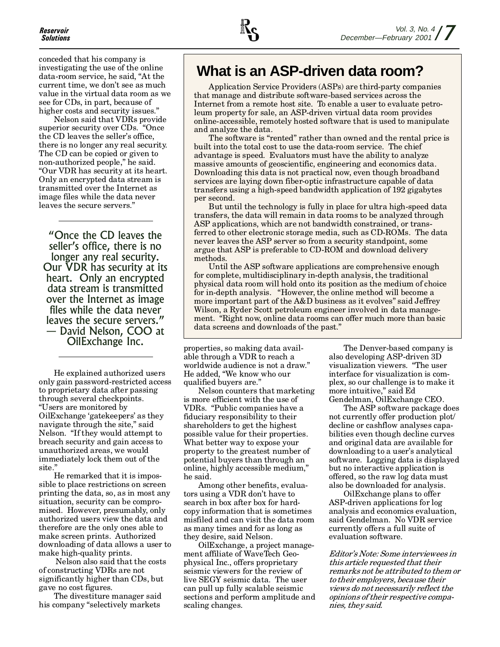

conceded that his company is investigating the use of the online data-room service, he said, "At the current time, we don't see as much value in the virtual data room as we see for CDs, in part, because of higher costs and security issues.

Nelson said that VDRs provide superior security over CDs. "Once the CD leaves the seller's office, there is no longer any real security. The CD can be copied or given to non-authorized people," he said. Our VDR has security at its heart. Only an encrypted data stream is transmitted over the Internet as image files while the data never leaves the secure servers.

Once the CD leaves the seller's office, there is no longer any real security. Our VDR has security at its heart. Only an encrypted data stream is transmitted over the Internet as image files while the data never leaves the secure servers. David Nelson, COO at OilExchange Inc.

He explained authorized users only gain password-restricted access to proprietary data after passing through several checkpoints. Users are monitored by OilExchange 'gatekeepers' as they navigate through the site," said Nelson. "If they would attempt to breach security and gain access to unauthorized areas, we would immediately lock them out of the site.

He remarked that it is impossible to place restrictions on screen printing the data, so, as in most any situation, security can be compromised. However, presumably, only authorized users view the data and therefore are the only ones able to make screen prints. Authorized downloading of data allows a user to make high-quality prints.

 Nelson also said that the costs of constructing VDRs are not significantly higher than CDs, but gave no cost figures.

The divestiture manager said his company "selectively markets

## **What is an ASP-driven data room?**

Application Service Providers (ASPs) are third-party companies that manage and distribute software-based services across the Internet from a remote host site. To enable a user to evaluate petroleum property for sale, an ASP-driven virtual data room provides online-accessible, remotely hosted software that is used to manipulate and analyze the data.

The software is "rented" rather than owned and the rental price is built into the total cost to use the data-room service. The chief advantage is speed. Evaluators must have the ability to analyze massive amounts of geoscientific, engineering and economics data. Downloading this data is not practical now, even though broadband services are laying down fiber-optic infrastructure capable of data transfers using a high-speed bandwidth application of 192 gigabytes per second.

But until the technology is fully in place for ultra high-speed data transfers, the data will remain in data rooms to be analyzed through ASP applications, which are not bandwidth constrained, or transferred to other electronic storage media, such as CD-ROMs. The data never leaves the ASP server so from a security standpoint, some argue that ASP is preferable to CD-ROM and download delivery methods.

Until the ASP software applications are comprehensive enough for complete, multidisciplinary in-depth analysis, the traditional physical data room will hold onto its position as the medium of choice for in-depth analysis. "However, the online method will become a more important part of the  $A&D$  business as it evolves" said Jeffrey Wilson, a Ryder Scott petroleum engineer involved in data management. "Right now, online data rooms can offer much more than basic data screens and downloads of the past.

properties, so making data available through a VDR to reach a worldwide audience is not a draw. He added, We know who our qualified buyers are.

Nelson counters that marketing is more efficient with the use of VDRs. "Public companies have a fiduciary responsibility to their shareholders to get the highest possible value for their properties. What better way to expose your property to the greatest number of potential buyers than through an online, highly accessible medium, he said.

Among other benefits, evaluators using a VDR don't have to search in box after box for hardcopy information that is sometimes misfiled and can visit the data room as many times and for as long as they desire, said Nelson.

OilExchange, a project management affiliate of WaveTech Geophysical Inc., offers proprietary seismic viewers for the review of live SEGY seismic data. The user can pull up fully scalable seismic sections and perform amplitude and scaling changes.

The Denver-based company is also developing ASP-driven 3D visualization viewers. The user interface for visualization is complex, so our challenge is to make it more intuitive," said Ed Gendelman, OilExchange CEO.

The ASP software package does not currently offer production plot/ decline or cashflow analyses capabilities even though decline curves and original data are available for downloading to a user's analytical software. Logging data is displayed but no interactive application is offered, so the raw log data must also be downloaded for analysis.

OilExchange plans to offer ASP-driven applications for log analysis and economics evaluation, said Gendelman. No VDR service currently offers a full suite of evaluation software.

Editor's Note: Some interviewees in this article requested that their remarks not be attributed to them or to their employers, because their views do not necessarily reflect the opinions of their respective companies, they said.